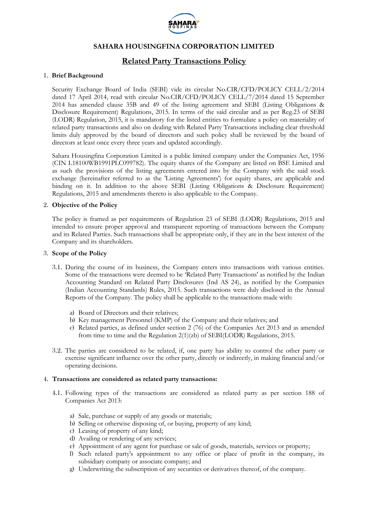

# **Related Party Transactions Policy**

### 1. **Brief Background**

Security Exchange Board of India (SEBI) vide its circular No.CIR/CFD/POLICY CELL/2/2014 dated 17 April 2014, read with circular No.CIR/CFD/POLICY CELL/7/2014 dated 15 September 2014 has amended clause 35B and 49 of the listing agreement and SEBI (Listing Obligations & Disclosure Requirement) Regulations, 2015. In terms of the said circular and as per Reg.23 of SEBI (LODR) Regulation, 2015, it is mandatory for the listed entities to formulate a policy on materiality of related party transactions and also on dealing with Related Party Transactions including clear threshold limits duly approved by the board of directors and such policy shall be reviewed by the board of directors at least once every three years and updated accordingly.

Sahara Housingfina Corporation Limited is a public limited company under the Companies Act, 1956 (CIN L18100WB1991PLC099782). The equity shares of the Company are listed on BSE Limited and as such the provisions of the listing agreements entered into by the Company with the said stock exchange (hereinafter referred to as the 'Listing Agreements') for equity shares, are applicable and binding on it. In addition to the above SEBI (Listing Obligations & Disclosure Requirement) Regulations, 2015 and amendments thereto is also applicable to the Company.

### 2. **Objective of the Policy**

The policy is framed as per requirements of Regulation 23 of SEBI (LODR) Regulations, 2015 and intended to ensure proper approval and transparent reporting of transactions between the Company and its Related Parties. Such transactions shall be appropriate only, if they are in the best interest of the Company and its shareholders.

### 3. **Scope of the Policy**

- 3.1. During the course of its business, the Company enters into transactions with various entities. Some of the transactions were deemed to be 'Related Party Transactions' as notified by the Indian Accounting Standard on Related Party Disclosures (Ind AS 24), as notified by the Companies (Indian Accounting Standards) Rules, 2015. Such transactions were duly disclosed in the Annual Reports of the Company. The policy shall be applicable to the transactions made with:
	- a) Board of Directors and their relatives;
	- b) Key management Personnel (KMP) of the Company and their relatives; and
	- c) Related parties, as defined under section 2 (76) of the Companies Act 2013 and as amended from time to time and the Regulation 2(1)(zb) of SEBI(LODR) Regulations, 2015.
- 3.2. The parties are considered to be related, if, one party has ability to control the other party or exercise significant influence over the other party, directly or indirectly, in making financial and/or operating decisions.

### 4. **Transactions are considered as related party transactions:**

- 4.1. Following types of the transactions are considered as related party as per section 188 of Companies Act 2013:
	- a) Sale, purchase or supply of any goods or materials;
	- b) Selling or otherwise disposing of, or buying, property of any kind;
	- c) Leasing of property of any kind;
	- d) Availing or rendering of any services;
	- e) Appointment of any agent for purchase or sale of goods, materials, services or property;
	- f) Such related party's appointment to any office or place of profit in the company, its subsidiary company or associate company; and
	- g) Underwriting the subscription of any securities or derivatives thereof, of the company.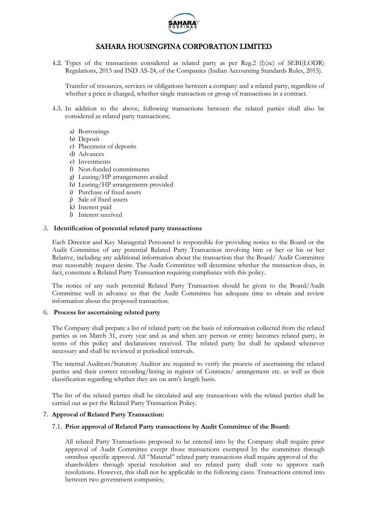

4.2. Types of the transactions considered as related party as per Reg.2 (l)(zc) of SEBI(LODR) Regulations, 2015 and IND AS-24, of the Companies (Indian Accounting Standards Rules, 2015).

Transfer of resources, services or obligations between a company and a related party, regardless of whether a price is charged, whether single transaction or group of transactions in a contract.

- 4.3. In addition to the above, following transactions between the related parties shall also be considered as related party transactions;
	- a) Borrowings
	- b) Deposit
	- c) Placement of deposits
	- d) Advances
	- e) Investments
	- f) Non-funded commitments
	- g) Leasing/HP arrangements availed
	- h) Leasing/HP arrangements provided
	- i) Purchase of fixed assets
	- j) Sale of fixed assets
	- k) Interest paid
	- l) Interest received

### 5. **Identification of potential related party transactions**

Each Director and Key Managerial Personnel is responsible for providing notice to the Board or the Audit Committee of any potential Related Party Transaction involving him or her or his or her Relative, including any additional information about the transaction that the Board/ Audit Committee may reasonably request desire. The Audit Committee will determine whether the transaction does, in fact, constitute a Related Party Transaction requiring compliance with this policy.

The notice of any such potential Related Party Transaction should be given to the Board/Audit Committee well in advance so that the Audit Committee has adequate time to obtain and review information about the proposed transaction.

### 6. **Process for ascertaining related party**

The Company shall prepare a list of related party on the basis of information collected from the related parties as on March 31, every year and as and when any person or entity becomes related party, in terms of this policy and declarations received. The related party list shall be updated whenever necessary and shall be reviewed at periodical intervals.

The internal Auditors/Statutory Auditor are required to verify the process of ascertaining the related parties and their correct recording/listing in register of Contracts/ arrangement etc. as well as their classification regarding whether they are on arm's length basis.

The list of the related parties shall be circulated and any transactions with the related parties shall be carried out as per the Related Party Transaction Policy.

### 7. **Approval of Related Party Transaction:**

### 7.1. **Prior approval of Related Party transactions by Audit Committee of the Board:**

All related Party Transactions proposed to be entered into by the Company shall require prior approval of Audit Committee except those transactions exempted by the committee through omnibus specific approval. All "Material" related party transactions shall require approval of the shareholders through special resolution and no related party shall vote to approve such resolutions. However, this shall not be applicable in the following cases. Transactions entered into between two government companies;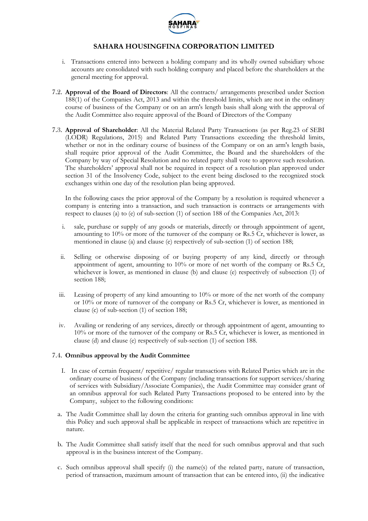

- i. Transactions entered into between a holding company and its wholly owned subsidiary whose accounts are consolidated with such holding company and placed before the shareholders at the general meeting for approval.
- 7.2. **Approval of the Board of Directors**: All the contracts/ arrangements prescribed under Section 188(1) of the Companies Act, 2013 and within the threshold limits, which are not in the ordinary course of business of the Company or on an arm's length basis shall along with the approval of the Audit Committee also require approval of the Board of Directors of the Company
- 7.3. **Approval of Shareholder**: All the Material Related Party Transactions (as per Reg.23 of SEBI (LODR) Regulations, 2015) and Related Party Transactions exceeding the threshold limits, whether or not in the ordinary course of business of the Company or on an arm's length basis, shall require prior approval of the Audit Committee, the Board and the shareholders of the Company by way of Special Resolution and no related party shall vote to approve such resolution. The shareholders' approval shall not be required in respect of a resolution plan approved under section 31 of the Insolvency Code, subject to the event being disclosed to the recognized stock exchanges within one day of the resolution plan being approved.

In the following cases the prior approval of the Company by a resolution is required whenever a company is entering into a transaction, and such transaction is contracts or arrangements with respect to clauses (a) to (e) of sub-section (1) of section 188 of the Companies Act, 2013:

- i. sale, purchase or supply of any goods or materials, directly or through appointment of agent, amounting to 10% or more of the turnover of the company or Rs.5 Cr, whichever is lower, as mentioned in clause (a) and clause (e) respectively of sub-section (1) of section 188;
- ii. Selling or otherwise disposing of or buying property of any kind, directly or through appointment of agent, amounting to 10% or more of net worth of the company or Rs.5 Cr, whichever is lower, as mentioned in clause (b) and clause (e) respectively of subsection (1) of section 188;
- iii. Leasing of property of any kind amounting to 10% or more of the net worth of the company or 10% or more of turnover of the company or Rs.5 Cr, whichever is lower, as mentioned in clause (c) of sub-section (1) of section 188;
- iv. Availing or rendering of any services, directly or through appointment of agent, amounting to 10% or more of the turnover of the company or Rs.5 Cr, whichever is lower, as mentioned in clause (d) and clause (e) respectively of sub-section (1) of section 188.

### 7.4. **Omnibus approval by the Audit Committee**

- I. In case of certain frequent/ repetitive/ regular transactions with Related Parties which are in the ordinary course of business of the Company (including transactions for support services/sharing of services with Subsidiary/Associate Companies), the Audit Committee may consider grant of an omnibus approval for such Related Party Transactions proposed to be entered into by the Company, subject to the following conditions:
- a. The Audit Committee shall lay down the criteria for granting such omnibus approval in line with this Policy and such approval shall be applicable in respect of transactions which are repetitive in nature.
- b. The Audit Committee shall satisfy itself that the need for such omnibus approval and that such approval is in the business interest of the Company.
- c. Such omnibus approval shall specify (i) the name(s) of the related party, nature of transaction, period of transaction, maximum amount of transaction that can be entered into, (ii) the indicative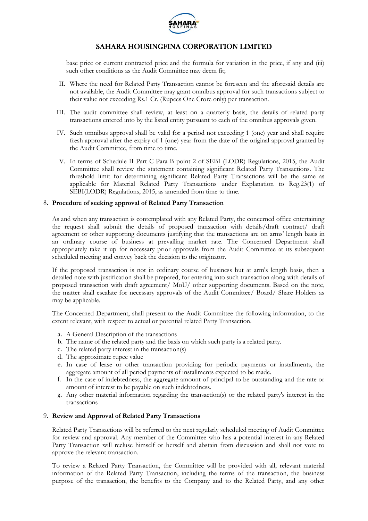

base price or current contracted price and the formula for variation in the price, if any and (iii) such other conditions as the Audit Committee may deem fit;

- II. Where the need for Related Party Transaction cannot be foreseen and the aforesaid details are not available, the Audit Committee may grant omnibus approval for such transactions subject to their value not exceeding Rs.1 Cr. (Rupees One Crore only) per transaction.
- III. The audit committee shall review, at least on a quarterly basis, the details of related party transactions entered into by the listed entity pursuant to each of the omnibus approvals given.
- IV. Such omnibus approval shall be valid for a period not exceeding 1 (one) year and shall require fresh approval after the expiry of 1 (one) year from the date of the original approval granted by the Audit Committee, from time to time.
- V. In terms of Schedule II Part C Para B point 2 of SEBI (LODR) Regulations, 2015, the Audit Committee shall review the statement containing significant Related Party Transactions. The threshold limit for determining significant Related Party Transactions will be the same as applicable for Material Related Party Transactions under Explanation to Reg.23(1) of SEBI(LODR) Regulations, 2015, as amended from time to time.

### 8. **Procedure of seeking approval of Related Party Transaction**

As and when any transaction is contemplated with any Related Party, the concerned office entertaining the request shall submit the details of proposed transaction with details/draft contract/ draft agreement or other supporting documents justifying that the transactions are on arms' length basis in an ordinary course of business at prevailing market rate. The Concerned Department shall appropriately take it up for necessary prior approvals from the Audit Committee at its subsequent scheduled meeting and convey back the decision to the originator.

If the proposed transaction is not in ordinary course of business but at arm's length basis, then a detailed note with justification shall be prepared, for entering into such transaction along with details of proposed transaction with draft agreement/ MoU/ other supporting documents. Based on the note, the matter shall escalate for necessary approvals of the Audit Committee/ Board/ Share Holders as may be applicable.

The Concerned Department, shall present to the Audit Committee the following information, to the extent relevant, with respect to actual or potential related Party Transaction.

- a. A General Description of the transactions
- b. The name of the related party and the basis on which such party is a related party.
- c. The related party interest in the transaction(s)
- d. The approximate rupee value
- e. In case of lease or other transaction providing for periodic payments or installments, the aggregate amount of all period payments of installments expected to be made.
- f. In the case of indebtedness, the aggregate amount of principal to be outstanding and the rate or amount of interest to be payable on such indebtedness.
- g. Any other material information regarding the transaction(s) or the related party's interest in the transactions

### 9. **Review and Approval of Related Party Transactions**

Related Party Transactions will be referred to the next regularly scheduled meeting of Audit Committee for review and approval. Any member of the Committee who has a potential interest in any Related Party Transaction will recluse himself or herself and abstain from discussion and shall not vote to approve the relevant transaction.

To review a Related Party Transaction, the Committee will be provided with all, relevant material information of the Related Party Transaction, including the terms of the transaction, the business purpose of the transaction, the benefits to the Company and to the Related Party, and any other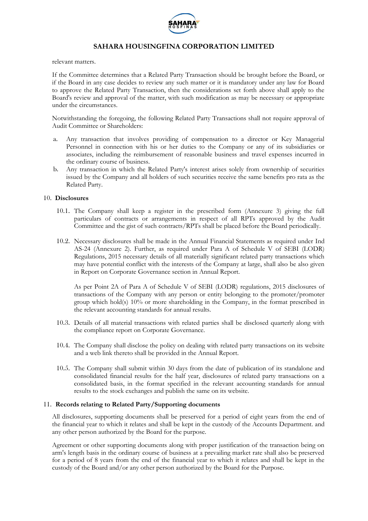

relevant matters.

If the Committee determines that a Related Party Transaction should be brought before the Board, or if the Board in any case decides to review any such matter or it is mandatory under any law for Board to approve the Related Party Transaction, then the considerations set forth above shall apply to the Board's review and approval of the matter, with such modification as may be necessary or appropriate under the circumstances.

Notwithstanding the foregoing, the following Related Party Transactions shall not require approval of Audit Committee or Shareholders:

- a. Any transaction that involves providing of compensation to a director or Key Managerial Personnel in connection with his or her duties to the Company or any of its subsidiaries or associates, including the reimbursement of reasonable business and travel expenses incurred in the ordinary course of business.
- b. Any transaction in which the Related Party's interest arises solely from ownership of securities issued by the Company and all holders of such securities receive the same benefits pro rata as the Related Party.

### 10. **Disclosures**

- 10.1. The Company shall keep a register in the prescribed form (Annexure 3) giving the full particulars of contracts or arrangements in respect of all RPTs approved by the Audit Committee and the gist of such contracts/RPTs shall be placed before the Board periodically.
- 10.2. Necessary disclosures shall be made in the Annual Financial Statements as required under Ind AS-24 (Annexure 2). Further, as required under Para A of Schedule V of SEBI (LODR) Regulations, 2015 necessary details of all materially significant related party transactions which may have potential conflict with the interests of the Company at large, shall also be also given in Report on Corporate Governance section in Annual Report.

As per Point 2A of Para A of Schedule V of SEBI (LODR) regulations, 2015 disclosures of transactions of the Company with any person or entity belonging to the promoter/promoter group which hold(s) 10% or more shareholding in the Company, in the format prescribed in the relevant accounting standards for annual results.

- 10.3. Details of all material transactions with related parties shall be disclosed quarterly along with the compliance report on Corporate Governance.
- 10.4. The Company shall disclose the policy on dealing with related party transactions on its website and a web link thereto shall be provided in the Annual Report.
- 10.5. The Company shall submit within 30 days from the date of publication of its standalone and consolidated financial results for the half year, disclosures of related party transactions on a consolidated basis, in the format specified in the relevant accounting standards for annual results to the stock exchanges and publish the same on its website.

### 11. **Records relating to Related Party/Supporting documents**

All disclosures, supporting documents shall be preserved for a period of eight years from the end of the financial year to which it relates and shall be kept in the custody of the Accounts Department. and any other person authorized by the Board for the purpose.

Agreement or other supporting documents along with proper justification of the transaction being on arm's length basis in the ordinary course of business at a prevailing market rate shall also be preserved for a period of 8 years from the end of the financial year to which it relates and shall be kept in the custody of the Board and/or any other person authorized by the Board for the Purpose.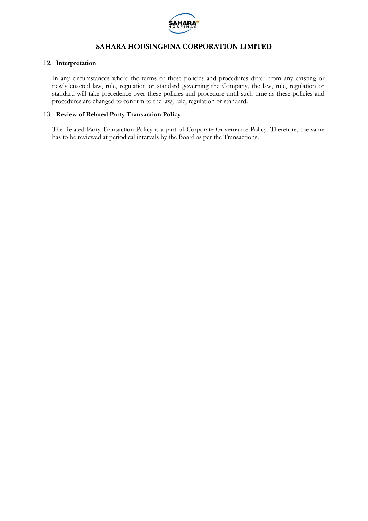

### 12. **Interpretation**

In any circumstances where the terms of these policies and procedures differ from any existing or newly enacted law, rule, regulation or standard governing the Company, the law, rule, regulation or standard will take precedence over these policies and procedure until such time as these policies and procedures are changed to confirm to the law, rule, regulation or standard.

### 13. **Review of Related Party Transaction Policy**

The Related Party Transaction Policy is a part of Corporate Governance Policy. Therefore, the same has to be reviewed at periodical intervals by the Board as per the Transactions.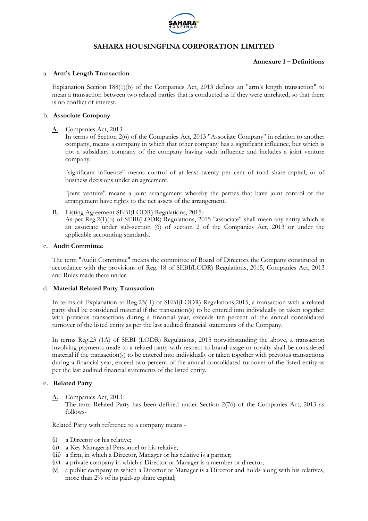

### **Annexure 1 – Definitions**

### a. **Arm's Length Transaction**

Explanation Section 188(1)(b) of the Companies Act, 2013 defines an "arm's length transaction" to mean a transaction between two related parties that is conducted as if they were unrelated, so that there is no conflict of interest.

### b. **Associate Company**

### A. Companies Act, 2013:

In terms of Section 2(6) of the Companies Act, 2013 "Associate Company" in relation to another company, means a company in which that other company has a significant influence, but which is not a subsidiary company of the company having such influence and includes a joint venture company.

"significant influence" means control of at least twenty per cent of total share capital, or of business decisions under an agreement.

"joint venture" means a joint arrangement whereby the parties that have joint control of the arrangement have rights to the net assets of the arrangement.

B. Listing Agreement SEBI(LODR) Regulations, 2015:

As per Reg.2(1)(b) of SEBI(LODR) Regulations, 2015 "associate" shall mean any entity which is an associate under sub-section (6) of section 2 of the Companies Act, 2013 or under the applicable accounting standards.

### c. **Audit Committee**

The term "Audit Committee" means the committee of Board of Directors the Company constituted in accordance with the provisions of Reg. 18 of SEBI(LODR) Regulations, 2015, Companies Act, 2013 and Rules made there under.

### d. **Material Related Party Transaction**

In terms of Explanation to Reg.23( 1) of SEBI(LODR) Regulations,2015, a transaction with a related party shall be considered material if the transaction(s) to be entered into individually or taken together with previous transactions during a financial year, exceeds ten percent of the annual consolidated turnover of the listed entity as per the last audited financial statements of the Company.

In terms Reg.23 (1A) of SEBI (LODR) Regulations, 2015 notwithstanding the above, a transaction involving payments made to a related party with respect to brand usage or royalty shall be considered material if the transaction(s) to be entered into individually or taken together with previous transactions during a financial year, exceed two percent of the annual consolidated turnover of the listed entity as per the last audited financial statements of the listed entity.

### e. **Related Party**

A. Companies Act, 2013:

The term Related Party has been defined under Section 2(76) of the Companies Act, 2013 as follows-

Related Party with reference to a company means -

- (i) a Director or his relative;
- (ii) a Key Managerial Personnel or his relative;
- (iii) a firm, in which a Director, Manager or his relative is a partner;
- (iv) a private company in which a Director or Manager is a member or director;
- (v) a public company in which a Director or Manager is a Director and holds along with his relatives, more than 2% of its paid-up share capital;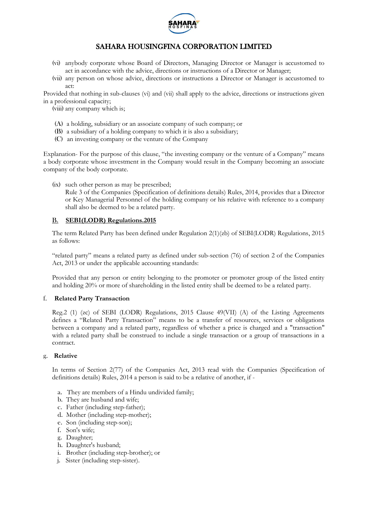

- (vi) anybody corporate whose Board of Directors, Managing Director or Manager is accustomed to act in accordance with the advice, directions or instructions of a Director or Manager;
- (vii) any person on whose advice, directions or instructions a Director or Manager is accustomed to act:

Provided that nothing in sub-clauses (vi) and (vii) shall apply to the advice, directions or instructions given in a professional capacity;

(viii) any company which is;

- (A) a holding, subsidiary or an associate company of such company; or
- (B) a subsidiary of a holding company to which it is also a subsidiary;
- (C) an investing company or the venture of the Company

Explanation- For the purpose of this clause, "the investing company or the venture of a Company" means a body corporate whose investment in the Company would result in the Company becoming an associate company of the body corporate.

(ix) such other person as may be prescribed;

Rule 3 of the Companies (Specification of definitions details) Rules, 2014, provides that a Director or Key Managerial Personnel of the holding company or his relative with reference to a company shall also be deemed to be a related party.

### B. **SEBI(LODR) Regulations.2015**

The term Related Party has been defined under Regulation 2(1)(zb) of SEBI(LODR) Regulations, 2015 as follows:

"related party" means a related party as defined under sub-section (76) of section 2 of the Companies Act, 2013 or under the applicable accounting standards:

Provided that any person or entity belonging to the promoter or promoter group of the listed entity and holding 20% or more of shareholding in the listed entity shall be deemed to be a related party.

### f. **Related Party Transaction**

Reg.2 (1) (zc) of SEBI (LODR) Regulations, 2015 Clause 49(VII) (A) of the Listing Agreements defines a "Related Party Transaction" means to be a transfer of resources, services or obligations between a company and a related party, regardless of whether a price is charged and a "transaction" with a related party shall be construed to include a single transaction or a group of transactions in a contract.

### g. **Relative**

In terms of Section 2(77) of the Companies Act, 2013 read with the Companies (Specification of definitions details) Rules, 2014 a person is said to be a relative of another, if -

- a. They are members of a Hindu undivided family;
- b. They are husband and wife;
- c. Father (including step-father);
- d. Mother (including step-mother);
- e. Son (including step-son);
- f. Son's wife;
- g. Daughter;
- h. Daughter's husband;
- i. Brother (including step-brother); or
- j. Sister (including step-sister).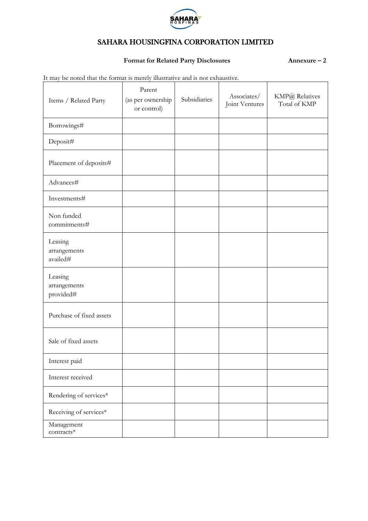

## **Format for Related Party Disclosures Annexure – 2**

It may be noted that the format is merely illustrative and is not exhaustive.

| Items / Related Party                | Parent<br>(as per ownership<br>or control) | Subsidiaries | Associates/<br>Joint Ventures | KMP@ Relatives<br>Total of KMP |
|--------------------------------------|--------------------------------------------|--------------|-------------------------------|--------------------------------|
| Borrowings#                          |                                            |              |                               |                                |
| Deposit#                             |                                            |              |                               |                                |
| Placement of deposits#               |                                            |              |                               |                                |
| Advances#                            |                                            |              |                               |                                |
| Investments#                         |                                            |              |                               |                                |
| Non funded<br>commitments#           |                                            |              |                               |                                |
| Leasing<br>arrangements<br>availed#  |                                            |              |                               |                                |
| Leasing<br>arrangements<br>provided# |                                            |              |                               |                                |
| Purchase of fixed assets             |                                            |              |                               |                                |
| Sale of fixed assets                 |                                            |              |                               |                                |
| Interest paid                        |                                            |              |                               |                                |
| Interest received                    |                                            |              |                               |                                |
| Rendering of services*               |                                            |              |                               |                                |
| Receiving of services*               |                                            |              |                               |                                |
| Management<br>$contrast*$            |                                            |              |                               |                                |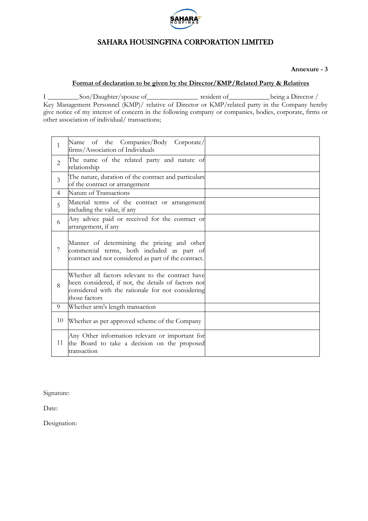

**Annexure - 3**

## **Format of declaration to be given by the Director/KMP/Related Party & Relatives**

I \_\_\_\_\_\_\_\_\_Son/Daughter/spouse of\_\_\_\_\_\_\_\_\_\_\_\_\_\_\_ resident of\_\_\_\_\_\_\_\_\_\_\_\_being a Director / Key Management Personnel (KMP)/ relative of Director or KMP/related party in the Company hereby give notice of my interest of concern in the following company or companies, bodies, corporate, firms or other association of individual/ transactions;

| $\mathbf{1}$   | Name of the Companies/Body Corporate/<br>firms/Association of Individuals                                                                                                      |  |
|----------------|--------------------------------------------------------------------------------------------------------------------------------------------------------------------------------|--|
| $\overline{2}$ | The name of the related party and nature of<br>relationship                                                                                                                    |  |
| $\mathfrak{Z}$ | The nature, duration of the contract and particulars<br>of the contract or arrangement                                                                                         |  |
| $\overline{4}$ | Nature of Transactions                                                                                                                                                         |  |
| 5              | Material terms of the contract or arrangement<br>including the value, if any                                                                                                   |  |
| 6              | Any advice paid or received for the contract or<br>arrangement, if any                                                                                                         |  |
| 7              | Manner of determining the pricing and other<br>commercial terms, both included as part of<br>contract and not considered as part of the contract.                              |  |
| 8              | Whether all factors relevant to the contract have<br>been considered, if not, the details of factors not<br>considered with the rationale for not considering<br>those factors |  |
| 9              | Whether arm's length transaction                                                                                                                                               |  |
| 10             | Whether as per approved scheme of the Company                                                                                                                                  |  |
| 11             | Any Other information relevant or important for<br>the Board to take a decision on the proposed<br>transaction                                                                 |  |

Signature:

Date:

Designation: